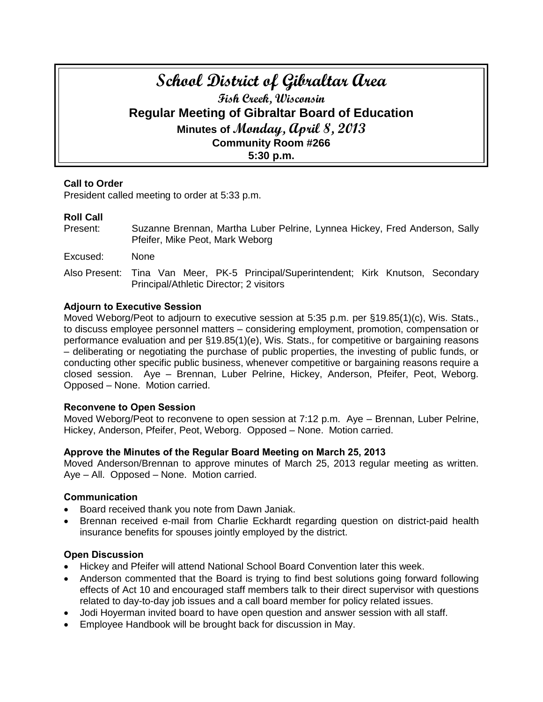# **School District of Gibraltar Area Fish Creek, Wisconsin Regular Meeting of Gibraltar Board of Education Minutes of Monday, April 8, 2013 Community Room #266 5:30 p.m.**

# **Call to Order**

President called meeting to order at 5:33 p.m.

# **Roll Call**

- Present: Suzanne Brennan, Martha Luber Pelrine, Lynnea Hickey, Fred Anderson, Sally Pfeifer, Mike Peot, Mark Weborg
- Excused: None
- Also Present: Tina Van Meer, PK-5 Principal/Superintendent; Kirk Knutson, Secondary Principal/Athletic Director; 2 visitors

## **Adjourn to Executive Session**

Moved Weborg/Peot to adjourn to executive session at 5:35 p.m. per §19.85(1)(c), Wis. Stats., to discuss employee personnel matters – considering employment, promotion, compensation or performance evaluation and per §19.85(1)(e), Wis. Stats., for competitive or bargaining reasons – deliberating or negotiating the purchase of public properties, the investing of public funds, or conducting other specific public business, whenever competitive or bargaining reasons require a closed session. Aye – Brennan, Luber Pelrine, Hickey, Anderson, Pfeifer, Peot, Weborg. Opposed – None. Motion carried.

## **Reconvene to Open Session**

Moved Weborg/Peot to reconvene to open session at 7:12 p.m. Aye – Brennan, Luber Pelrine, Hickey, Anderson, Pfeifer, Peot, Weborg. Opposed – None. Motion carried.

## **Approve the Minutes of the Regular Board Meeting on March 25, 2013**

Moved Anderson/Brennan to approve minutes of March 25, 2013 regular meeting as written. Aye – All. Opposed – None. Motion carried.

## **Communication**

- Board received thank you note from Dawn Janiak.
- Brennan received e-mail from Charlie Eckhardt regarding question on district-paid health insurance benefits for spouses jointly employed by the district.

#### **Open Discussion**

- Hickey and Pfeifer will attend National School Board Convention later this week.
- Anderson commented that the Board is trying to find best solutions going forward following effects of Act 10 and encouraged staff members talk to their direct supervisor with questions related to day-to-day job issues and a call board member for policy related issues.
- Jodi Hoyerman invited board to have open question and answer session with all staff.
- Employee Handbook will be brought back for discussion in May.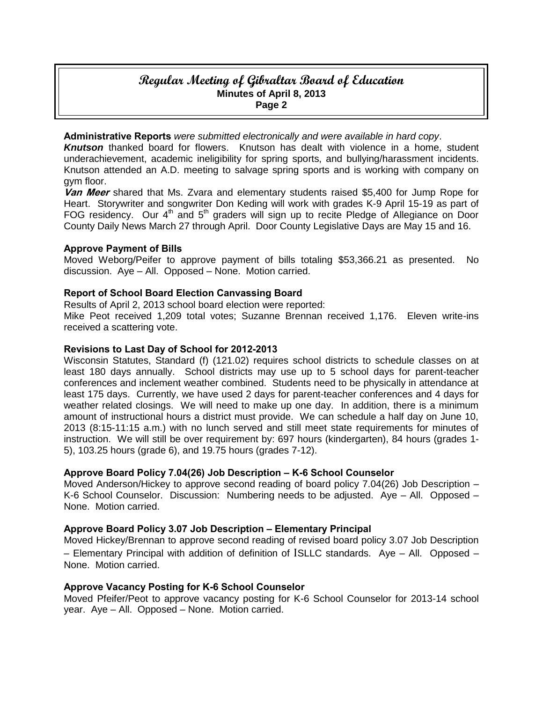# **Regular Meeting of Gibraltar Board of Education Minutes of April 8, 2013 Page 2**

**Administrative Reports** *were submitted electronically and were available in hard copy*.

*Knutson* thanked board for flowers. Knutson has dealt with violence in a home, student underachievement, academic ineligibility for spring sports, and bullying/harassment incidents. Knutson attended an A.D. meeting to salvage spring sports and is working with company on gym floor.

**Van Meer** shared that Ms. Zvara and elementary students raised \$5,400 for Jump Rope for Heart.Storywriter and songwriter Don Keding will work with grades K-9 April 15-19 as part of FOG residency. Our 4<sup>th</sup> and 5<sup>th</sup> graders will sign up to recite Pledge of Allegiance on Door County Daily News March 27 through April.Door County Legislative Days are May 15 and 16.

#### **Approve Payment of Bills**

Moved Weborg/Peifer to approve payment of bills totaling \$53,366.21 as presented. No discussion. Aye – All. Opposed – None. Motion carried.

#### **Report of School Board Election Canvassing Board**

Results of April 2, 2013 school board election were reported:

Mike Peot received 1,209 total votes; Suzanne Brennan received 1,176. Eleven write-ins received a scattering vote.

#### **Revisions to Last Day of School for 2012-2013**

Wisconsin Statutes, Standard (f) (121.02) requires school districts to schedule classes on at least 180 days annually. School districts may use up to 5 school days for parent-teacher conferences and inclement weather combined. Students need to be physically in attendance at least 175 days. Currently, we have used 2 days for parent-teacher conferences and 4 days for weather related closings. We will need to make up one day. In addition, there is a minimum amount of instructional hours a district must provide. We can schedule a half day on June 10, 2013 (8:15-11:15 a.m.) with no lunch served and still meet state requirements for minutes of instruction. We will still be over requirement by: 697 hours (kindergarten), 84 hours (grades 1- 5), 103.25 hours (grade 6), and 19.75 hours (grades 7-12).

## **Approve Board Policy 7.04(26) Job Description – K-6 School Counselor**

Moved Anderson/Hickey to approve second reading of board policy 7.04(26) Job Description – K-6 School Counselor. Discussion: Numbering needs to be adjusted. Aye – All. Opposed – None. Motion carried.

#### **Approve Board Policy 3.07 Job Description – Elementary Principal**

Moved Hickey/Brennan to approve second reading of revised board policy 3.07 Job Description – Elementary Principal with addition of definition of ISLLC standards. Aye – All. Opposed – None. Motion carried.

#### **Approve Vacancy Posting for K-6 School Counselor**

Moved Pfeifer/Peot to approve vacancy posting for K-6 School Counselor for 2013-14 school year. Aye – All. Opposed – None. Motion carried.